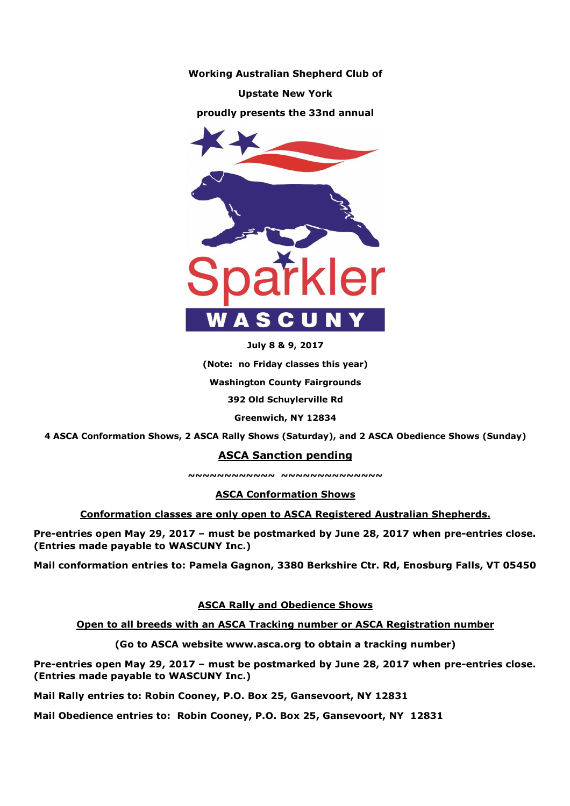

**July 8 & 9, 2017** 

**(Note: no Friday classes this year)** 

**Washington County Fairgrounds** 

**392 Old Schuylerville Rd** 

**Greenwich, NY 12834** 

**4 ASCA Conformation Shows, 2 ASCA Rally Shows (Saturday), and 2 ASCA Obedience Shows (Sunday)** 

# **ASCA Sanction pending**

**~~~~~~~~~~~~ ~~~~~~~~~~~~~~** 

**ASCA Conformation Shows** 

**Conformation classes are only open to ASCA Registered Australian Shepherds.** 

**Pre-entries open May 29, 2017 – must be postmarked by June 28, 2017 when pre-entries close. (Entries made payable to WASCUNY Inc.)** 

**Mail conformation entries to: Pamela Gagnon, 3380 Berkshire Ctr. Rd, Enosburg Falls, VT 05450** 

**ASCA Rally and Obedience Shows** 

**Open to all breeds with an ASCA Tracking number or ASCA Registration number** 

**(Go to ASCA website www.asca.org to obtain a tracking number)** 

**Pre-entries open May 29, 2017 – must be postmarked by June 28, 2017 when pre-entries close. (Entries made payable to WASCUNY Inc.)** 

**Mail Rally entries to: Robin Cooney, P.O. Box 25, Gansevoort, NY 12831** 

**Mail Obedience entries to: Robin Cooney, P.O. Box 25, Gansevoort, NY 12831**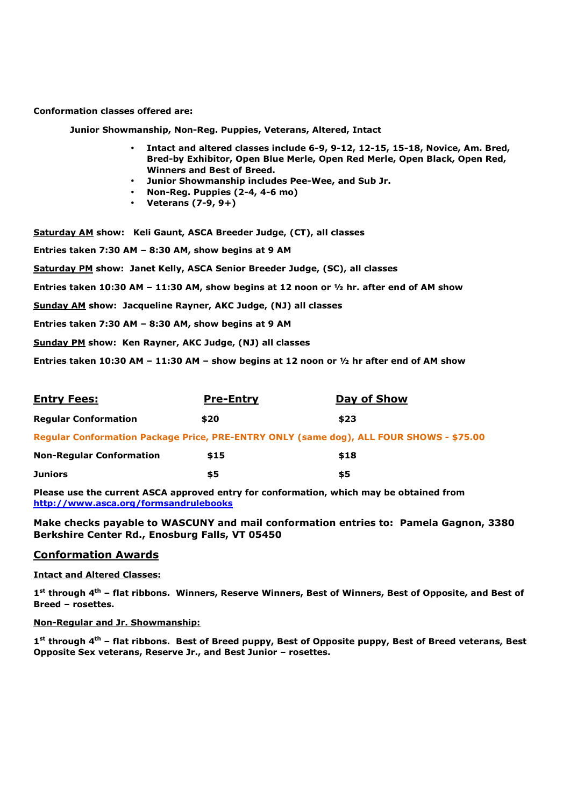**Conformation classes offered are:** 

 **Junior Showmanship, Non-Reg. Puppies, Veterans, Altered, Intact** 

- **Intact and altered classes include 6-9, 9-12, 12-15, 15-18, Novice, Am. Bred, Bred-by Exhibitor, Open Blue Merle, Open Red Merle, Open Black, Open Red, Winners and Best of Breed.**
- **Junior Showmanship includes Pee-Wee, and Sub Jr.**
- **Non-Reg. Puppies (2-4, 4-6 mo)**
- **Veterans (7-9, 9+)**

**Saturday AM show: Keli Gaunt, ASCA Breeder Judge, (CT), all classes Entries taken 7:30 AM – 8:30 AM, show begins at 9 AM Saturday PM show: Janet Kelly, ASCA Senior Breeder Judge, (SC), all classes Entries taken 10:30 AM – 11:30 AM, show begins at 12 noon or ½ hr. after end of AM show Sunday AM show: Jacqueline Rayner, AKC Judge, (NJ) all classes Entries taken 7:30 AM – 8:30 AM, show begins at 9 AM Sunday PM show: Ken Rayner, AKC Judge, (NJ) all classes** 

**Entries taken 10:30 AM – 11:30 AM – show begins at 12 noon or ½ hr after end of AM show** 

| <b>Entry Fees:</b>                                                                      | <u>Pre-Entry</u> | Day of Show |
|-----------------------------------------------------------------------------------------|------------------|-------------|
| <b>Regular Conformation</b>                                                             | \$20             | \$23        |
| Regular Conformation Package Price, PRE-ENTRY ONLY (same dog), ALL FOUR SHOWS - \$75.00 |                  |             |
| <b>Non-Regular Conformation</b>                                                         | \$15             | \$18        |
| <b>Juniors</b>                                                                          | \$5              | \$5         |

**Please use the current ASCA approved entry for conformation, which may be obtained from http://www.asca.org/formsandrulebooks**

**Make checks payable to WASCUNY and mail conformation entries to: Pamela Gagnon, 3380 Berkshire Center Rd., Enosburg Falls, VT 05450** 

#### **Conformation Awards**

**Intact and Altered Classes:** 

**1 st through 4th – flat ribbons. Winners, Reserve Winners, Best of Winners, Best of Opposite, and Best of Breed – rosettes.** 

#### **Non-Regular and Jr. Showmanship:**

**1 st through 4th – flat ribbons. Best of Breed puppy, Best of Opposite puppy, Best of Breed veterans, Best Opposite Sex veterans, Reserve Jr., and Best Junior – rosettes.**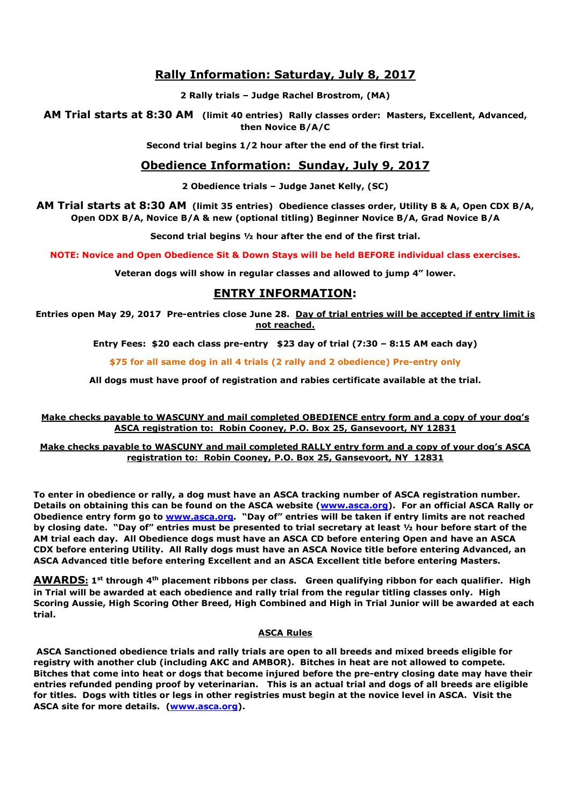# **Rally Information: Saturday, July 8, 2017**

**2 Rally trials – Judge Rachel Brostrom, (MA)** 

**AM Trial starts at 8:30 AM (limit 40 entries) Rally classes order: Masters, Excellent, Advanced, then Novice B/A/C** 

**Second trial begins 1/2 hour after the end of the first trial.** 

## **Obedience Information: Sunday, July 9, 2017**

**2 Obedience trials – Judge Janet Kelly, (SC)** 

**AM Trial starts at 8:30 AM (limit 35 entries) Obedience classes order, Utility B & A, Open CDX B/A, Open ODX B/A, Novice B/A & new (optional titling) Beginner Novice B/A, Grad Novice B/A** 

**Second trial begins ½ hour after the end of the first trial.** 

**NOTE: Novice and Open Obedience Sit & Down Stays will be held BEFORE individual class exercises.** 

**Veteran dogs will show in regular classes and allowed to jump 4" lower.** 

# **ENTRY INFORMATION:**

**Entries open May 29, 2017 Pre-entries close June 28. Day of trial entries will be accepted if entry limit is not reached.** 

**Entry Fees: \$20 each class pre-entry \$23 day of trial (7:30 – 8:15 AM each day)** 

**\$75 for all same dog in all 4 trials (2 rally and 2 obedience) Pre-entry only** 

**All dogs must have proof of registration and rabies certificate available at the trial.** 

**Make checks payable to WASCUNY and mail completed OBEDIENCE entry form and a copy of your dog's ASCA registration to: Robin Cooney, P.O. Box 25, Gansevoort, NY 12831** 

**Make checks payable to WASCUNY and mail completed RALLY entry form and a copy of your dog's ASCA registration to: Robin Cooney, P.O. Box 25, Gansevoort, NY 12831** 

**To enter in obedience or rally, a dog must have an ASCA tracking number of ASCA registration number. Details on obtaining this can be found on the ASCA website (www.asca.org). For an official ASCA Rally or Obedience entry form go to www.asca.org. "Day of" entries will be taken if entry limits are not reached by closing date. "Day of" entries must be presented to trial secretary at least ½ hour before start of the AM trial each day. All Obedience dogs must have an ASCA CD before entering Open and have an ASCA CDX before entering Utility. All Rally dogs must have an ASCA Novice title before entering Advanced, an ASCA Advanced title before entering Excellent and an ASCA Excellent title before entering Masters.** 

**AWARDS: 1st through 4th placement ribbons per class. Green qualifying ribbon for each qualifier. High in Trial will be awarded at each obedience and rally trial from the regular titling classes only. High Scoring Aussie, High Scoring Other Breed, High Combined and High in Trial Junior will be awarded at each trial.** 

#### **ASCA Rules**

 **ASCA Sanctioned obedience trials and rally trials are open to all breeds and mixed breeds eligible for registry with another club (including AKC and AMBOR). Bitches in heat are not allowed to compete. Bitches that come into heat or dogs that become injured before the pre-entry closing date may have their entries refunded pending proof by veterinarian. This is an actual trial and dogs of all breeds are eligible for titles. Dogs with titles or legs in other registries must begin at the novice level in ASCA. Visit the ASCA site for more details. (www.asca.org).**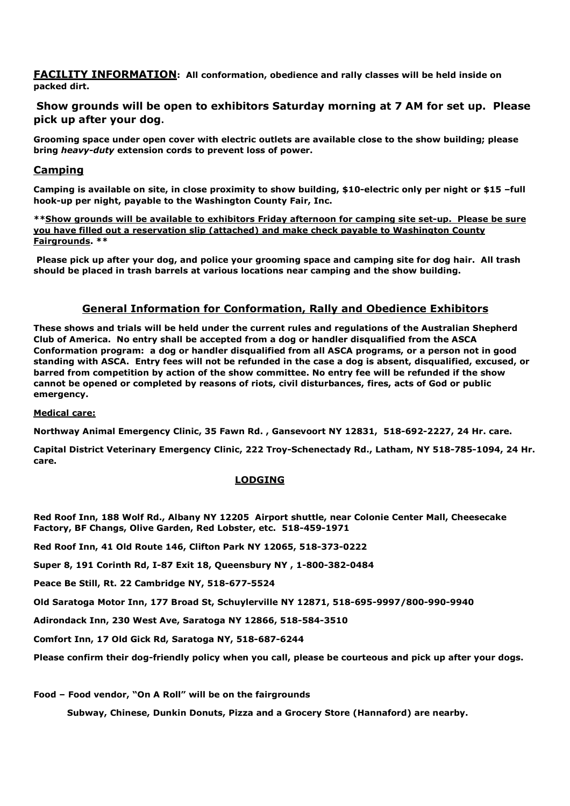**FACILITY INFORMATION: All conformation, obedience and rally classes will be held inside on packed dirt.** 

## **Show grounds will be open to exhibitors Saturday morning at 7 AM for set up. Please pick up after your dog.**

**Grooming space under open cover with electric outlets are available close to the show building; please bring** *heavy-duty* **extension cords to prevent loss of power.** 

#### **Camping**

**Camping is available on site, in close proximity to show building, \$10-electric only per night or \$15 –full hook-up per night, payable to the Washington County Fair, Inc.** 

**\*\*Show grounds will be available to exhibitors Friday afternoon for camping site set-up. Please be sure you have filled out a reservation slip (attached) and make check payable to Washington County Fairgrounds. \*\*** 

 **Please pick up after your dog, and police your grooming space and camping site for dog hair. All trash should be placed in trash barrels at various locations near camping and the show building.** 

## **General Information for Conformation, Rally and Obedience Exhibitors**

**These shows and trials will be held under the current rules and regulations of the Australian Shepherd Club of America. No entry shall be accepted from a dog or handler disqualified from the ASCA Conformation program: a dog or handler disqualified from all ASCA programs, or a person not in good standing with ASCA. Entry fees will not be refunded in the case a dog is absent, disqualified, excused, or barred from competition by action of the show committee. No entry fee will be refunded if the show cannot be opened or completed by reasons of riots, civil disturbances, fires, acts of God or public emergency.** 

#### **Medical care:**

**Northway Animal Emergency Clinic, 35 Fawn Rd. , Gansevoort NY 12831, 518-692-2227, 24 Hr. care.** 

**Capital District Veterinary Emergency Clinic, 222 Troy-Schenectady Rd., Latham, NY 518-785-1094, 24 Hr. care.** 

#### **LODGING**

**Red Roof Inn, 188 Wolf Rd., Albany NY 12205 Airport shuttle, near Colonie Center Mall, Cheesecake Factory, BF Changs, Olive Garden, Red Lobster, etc. 518-459-1971** 

**Red Roof Inn, 41 Old Route 146, Clifton Park NY 12065, 518-373-0222** 

**Super 8, 191 Corinth Rd, I-87 Exit 18, Queensbury NY , 1-800-382-0484** 

**Peace Be Still, Rt. 22 Cambridge NY, 518-677-5524** 

**Old Saratoga Motor Inn, 177 Broad St, Schuylerville NY 12871, 518-695-9997/800-990-9940** 

**Adirondack Inn, 230 West Ave, Saratoga NY 12866, 518-584-3510** 

**Comfort Inn, 17 Old Gick Rd, Saratoga NY, 518-687-6244** 

**Please confirm their dog-friendly policy when you call, please be courteous and pick up after your dogs.** 

**Food – Food vendor, "On A Roll" will be on the fairgrounds** 

**Subway, Chinese, Dunkin Donuts, Pizza and a Grocery Store (Hannaford) are nearby.**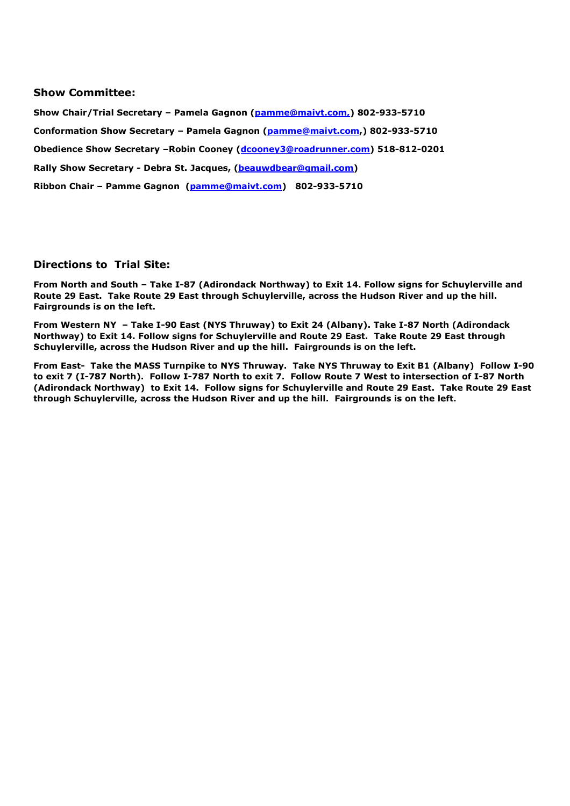#### **Show Committee:**

**Show Chair/Trial Secretary – Pamela Gagnon (pamme@maivt.com,) 802-933-5710 Conformation Show Secretary – Pamela Gagnon (pamme@maivt.com,) 802-933-5710 Obedience Show Secretary –Robin Cooney (dcooney3@roadrunner.com) 518-812-0201 Rally Show Secretary - Debra St. Jacques, (beauwdbear@gmail.com) Ribbon Chair – Pamme Gagnon (pamme@maivt.com) 802-933-5710** 

## **Directions to Trial Site:**

**From North and South – Take I-87 (Adirondack Northway) to Exit 14. Follow signs for Schuylerville and Route 29 East. Take Route 29 East through Schuylerville, across the Hudson River and up the hill. Fairgrounds is on the left.** 

**From Western NY – Take I-90 East (NYS Thruway) to Exit 24 (Albany). Take I-87 North (Adirondack Northway) to Exit 14. Follow signs for Schuylerville and Route 29 East. Take Route 29 East through Schuylerville, across the Hudson River and up the hill. Fairgrounds is on the left.** 

**From East- Take the MASS Turnpike to NYS Thruway. Take NYS Thruway to Exit B1 (Albany) Follow I-90 to exit 7 (I-787 North). Follow I-787 North to exit 7. Follow Route 7 West to intersection of I-87 North (Adirondack Northway) to Exit 14. Follow signs for Schuylerville and Route 29 East. Take Route 29 East through Schuylerville, across the Hudson River and up the hill. Fairgrounds is on the left.**